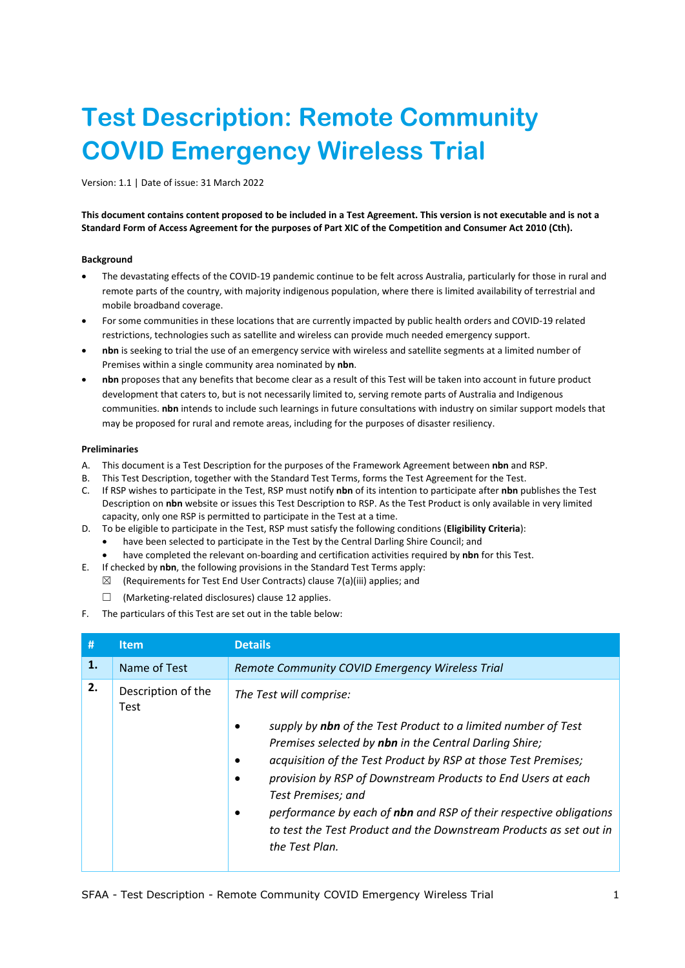# **Test Description: Remote Community COVID Emergency Wireless Trial**

Version: 1.1 | Date of issue: 31 March 2022

**This document contains content proposed to be included in a Test Agreement. This version is not executable and is not a Standard Form of Access Agreement for the purposes of Part XIC of the Competition and Consumer Act 2010 (Cth).**

## **Background**

- The devastating effects of the COVID-19 pandemic continue to be felt across Australia, particularly for those in rural and remote parts of the country, with majority indigenous population, where there is limited availability of terrestrial and mobile broadband coverage.
- For some communities in these locations that are currently impacted by public health orders and COVID-19 related restrictions, technologies such as satellite and wireless can provide much needed emergency support.
- **nbn** is seeking to trial the use of an emergency service with wireless and satellite segments at a limited number of Premises within a single community area nominated by **nbn**.
- **nbn** proposes that any benefits that become clear as a result of this Test will be taken into account in future product development that caters to, but is not necessarily limited to, serving remote parts of Australia and Indigenous communities. **nbn** intends to include such learnings in future consultations with industry on similar support models that may be proposed for rural and remote areas, including for the purposes of disaster resiliency.

## **Preliminaries**

- A. This document is a Test Description for the purposes of the Framework Agreement between **nbn** and RSP.
- B. This Test Description, together with the Standard Test Terms, forms the Test Agreement for the Test.
- C. If RSP wishes to participate in the Test, RSP must notify **nbn** of its intention to participate after **nbn** publishes the Test Description on **nbn** website or issues this Test Description to RSP. As the Test Product is only available in very limited capacity, only one RSP is permitted to participate in the Test at a time.
- D. To be eligible to participate in the Test, RSP must satisfy the following conditions (**Eligibility Criteria**):
	- have been selected to participate in the Test by the Central Darling Shire Council; and
	- have completed the relevant on-boarding and certification activities required by **nbn** for this Test.
- E. If checked by **nbn**, the following provisions in the Standard Test Terms apply:
	- $\boxtimes$  (Requirements for Test End User Contracts) clause 7(a)(iii) applies; and
		- ☐ (Marketing-related disclosures) clause 12 applies.
- F. The particulars of this Test are set out in the table below:

<span id="page-0-0"></span>

| #  | <b>Item</b>                | <b>Details</b>                                                                                                                                                                                                                                                                                                                                                               |
|----|----------------------------|------------------------------------------------------------------------------------------------------------------------------------------------------------------------------------------------------------------------------------------------------------------------------------------------------------------------------------------------------------------------------|
| 1. | Name of Test               | Remote Community COVID Emergency Wireless Trial                                                                                                                                                                                                                                                                                                                              |
| 2. | Description of the<br>Test | The Test will comprise:<br>supply by nbn of the Test Product to a limited number of Test                                                                                                                                                                                                                                                                                     |
|    |                            | Premises selected by nbn in the Central Darling Shire;<br>acquisition of the Test Product by RSP at those Test Premises;<br>provision by RSP of Downstream Products to End Users at each<br>Test Premises; and<br>performance by each of nbn and RSP of their respective obligations<br>to test the Test Product and the Downstream Products as set out in<br>the Test Plan. |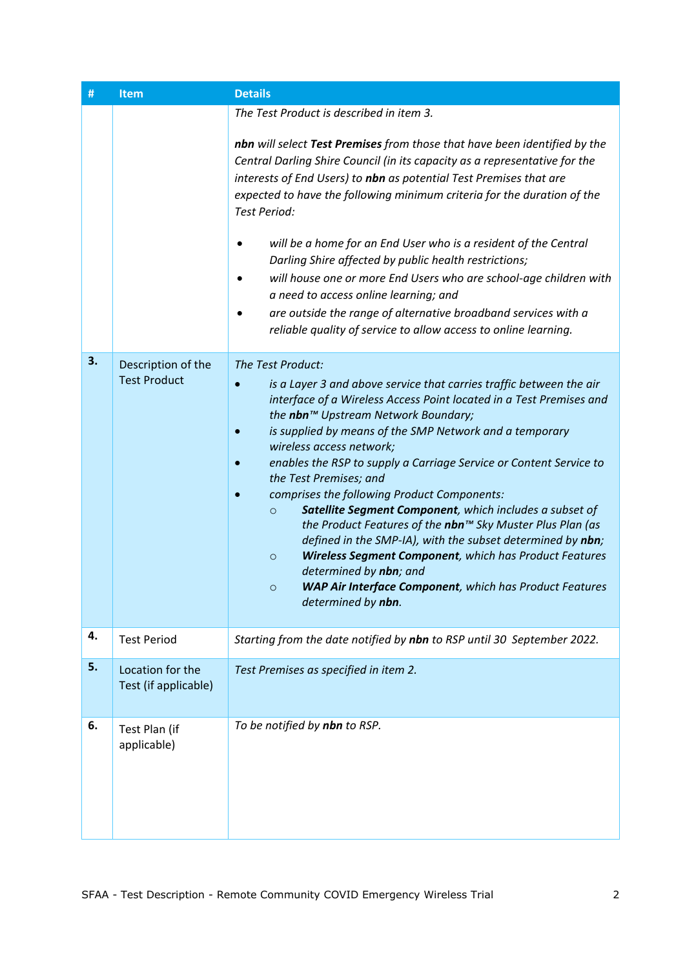<span id="page-1-1"></span><span id="page-1-0"></span>

| #  | <b>Item</b>                               | <b>Details</b>                                                                                                                                                                                                                                                                                                                                                                                                                                                                                                                                                                                                                                                                                                                                                                                                                                           |
|----|-------------------------------------------|----------------------------------------------------------------------------------------------------------------------------------------------------------------------------------------------------------------------------------------------------------------------------------------------------------------------------------------------------------------------------------------------------------------------------------------------------------------------------------------------------------------------------------------------------------------------------------------------------------------------------------------------------------------------------------------------------------------------------------------------------------------------------------------------------------------------------------------------------------|
|    |                                           | The Test Product is described in item 3.                                                                                                                                                                                                                                                                                                                                                                                                                                                                                                                                                                                                                                                                                                                                                                                                                 |
|    |                                           | nbn will select Test Premises from those that have been identified by the<br>Central Darling Shire Council (in its capacity as a representative for the<br>interests of End Users) to nbn as potential Test Premises that are<br>expected to have the following minimum criteria for the duration of the<br><b>Test Period:</b><br>will be a home for an End User who is a resident of the Central<br>Darling Shire affected by public health restrictions;<br>will house one or more End Users who are school-age children with<br>a need to access online learning; and<br>are outside the range of alternative broadband services with a<br>reliable quality of service to allow access to online learning.                                                                                                                                           |
| 3. | Description of the<br><b>Test Product</b> | The Test Product:<br>is a Layer 3 and above service that carries traffic between the air<br>interface of a Wireless Access Point located in a Test Premises and<br>the nbn™ Upstream Network Boundary;<br>is supplied by means of the SMP Network and a temporary<br>wireless access network;<br>enables the RSP to supply a Carriage Service or Content Service to<br>the Test Premises; and<br>comprises the following Product Components:<br>Satellite Segment Component, which includes a subset of<br>$\circ$<br>the Product Features of the nbn™ Sky Muster Plus Plan (as<br>defined in the SMP-IA), with the subset determined by nbn;<br>Wireless Segment Component, which has Product Features<br>$\circ$<br>determined by nbn; and<br><b>WAP Air Interface Component</b> , which has Product Features<br>$\circ$<br>determined by <b>nbn</b> . |
| 4. | <b>Test Period</b>                        | Starting from the date notified by nbn to RSP until 30 September 2022.                                                                                                                                                                                                                                                                                                                                                                                                                                                                                                                                                                                                                                                                                                                                                                                   |
| 5. | Location for the<br>Test (if applicable)  | Test Premises as specified in item 2.                                                                                                                                                                                                                                                                                                                                                                                                                                                                                                                                                                                                                                                                                                                                                                                                                    |
| 6. | Test Plan (if<br>applicable)              | To be notified by nbn to RSP.                                                                                                                                                                                                                                                                                                                                                                                                                                                                                                                                                                                                                                                                                                                                                                                                                            |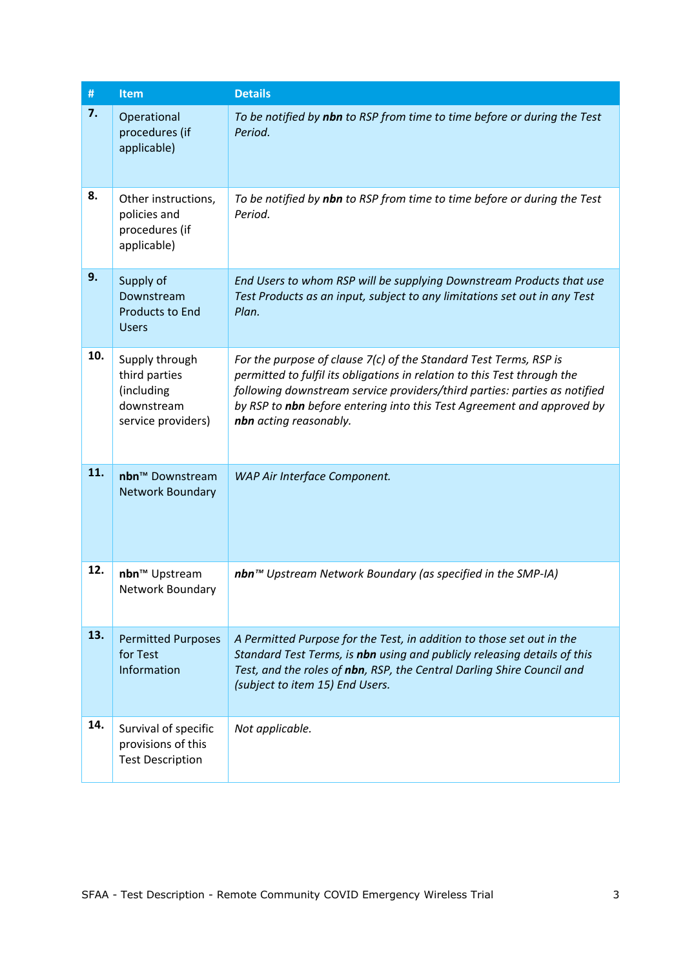| $\#$ | <b>Item</b>                                                                       | <b>Details</b>                                                                                                                                                                                                                                                                                                                 |
|------|-----------------------------------------------------------------------------------|--------------------------------------------------------------------------------------------------------------------------------------------------------------------------------------------------------------------------------------------------------------------------------------------------------------------------------|
| 7.   | Operational<br>procedures (if<br>applicable)                                      | To be notified by nbn to RSP from time to time before or during the Test<br>Period.                                                                                                                                                                                                                                            |
| 8.   | Other instructions,<br>policies and<br>procedures (if<br>applicable)              | To be notified by nbn to RSP from time to time before or during the Test<br>Period.                                                                                                                                                                                                                                            |
| 9.   | Supply of<br>Downstream<br><b>Products to End</b><br><b>Users</b>                 | End Users to whom RSP will be supplying Downstream Products that use<br>Test Products as an input, subject to any limitations set out in any Test<br>Plan.                                                                                                                                                                     |
| 10.  | Supply through<br>third parties<br>(including<br>downstream<br>service providers) | For the purpose of clause 7(c) of the Standard Test Terms, RSP is<br>permitted to fulfil its obligations in relation to this Test through the<br>following downstream service providers/third parties: parties as notified<br>by RSP to nbn before entering into this Test Agreement and approved by<br>nbn acting reasonably. |
| 11.  | nbn <sup>™</sup> Downstream<br>Network Boundary                                   | WAP Air Interface Component.                                                                                                                                                                                                                                                                                                   |
| 12.  | nbn <sup>™</sup> Upstream<br>Network Boundary                                     | nbn™ Upstream Network Boundary (as specified in the SMP-IA)                                                                                                                                                                                                                                                                    |
| 13.  | <b>Permitted Purposes</b><br>for Test<br>Information                              | A Permitted Purpose for the Test, in addition to those set out in the<br>Standard Test Terms, is nbn using and publicly releasing details of this<br>Test, and the roles of nbn, RSP, the Central Darling Shire Council and<br>(subject to item 15) End Users.                                                                 |
| 14.  | Survival of specific<br>provisions of this<br><b>Test Description</b>             | Not applicable.                                                                                                                                                                                                                                                                                                                |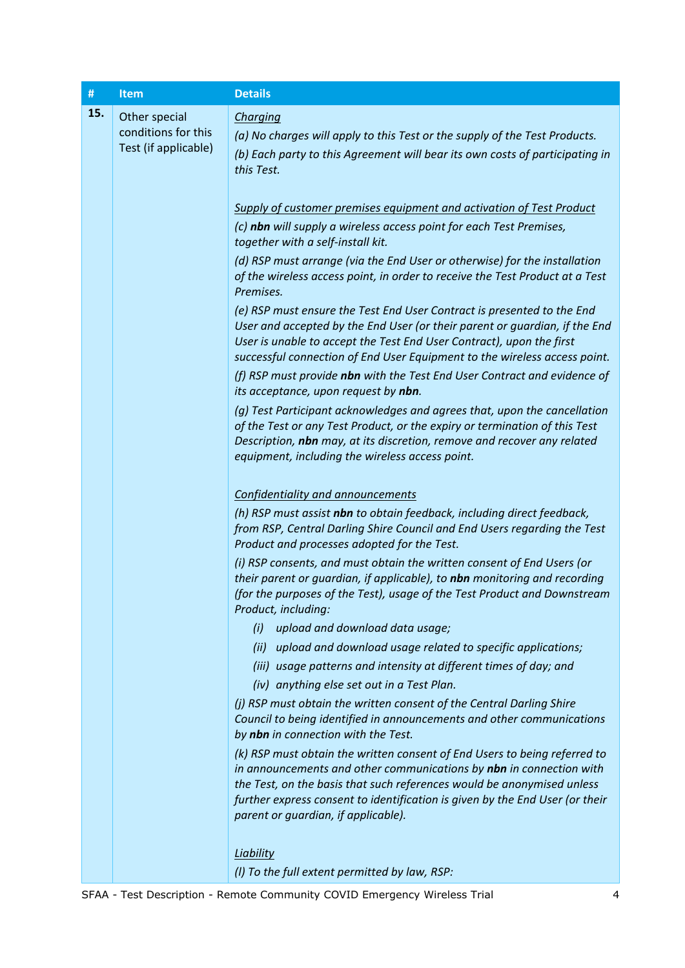<span id="page-3-0"></span>

| #   | <b>Item</b>                                                  | <b>Details</b>                                                                                                                                                                                                                                                                                                                                    |
|-----|--------------------------------------------------------------|---------------------------------------------------------------------------------------------------------------------------------------------------------------------------------------------------------------------------------------------------------------------------------------------------------------------------------------------------|
| 15. | Other special<br>conditions for this<br>Test (if applicable) | Charging<br>(a) No charges will apply to this Test or the supply of the Test Products.<br>(b) Each party to this Agreement will bear its own costs of participating in<br>this Test.                                                                                                                                                              |
|     |                                                              | Supply of customer premises equipment and activation of Test Product                                                                                                                                                                                                                                                                              |
|     |                                                              | (c) nbn will supply a wireless access point for each Test Premises,<br>together with a self-install kit.                                                                                                                                                                                                                                          |
|     |                                                              | (d) RSP must arrange (via the End User or otherwise) for the installation<br>of the wireless access point, in order to receive the Test Product at a Test<br>Premises.                                                                                                                                                                            |
|     |                                                              | (e) RSP must ensure the Test End User Contract is presented to the End<br>User and accepted by the End User (or their parent or guardian, if the End<br>User is unable to accept the Test End User Contract), upon the first<br>successful connection of End User Equipment to the wireless access point.                                         |
|     |                                                              | (f) RSP must provide nbn with the Test End User Contract and evidence of<br>its acceptance, upon request by nbn.                                                                                                                                                                                                                                  |
|     |                                                              | (g) Test Participant acknowledges and agrees that, upon the cancellation<br>of the Test or any Test Product, or the expiry or termination of this Test<br>Description, nbn may, at its discretion, remove and recover any related<br>equipment, including the wireless access point.                                                              |
|     |                                                              | <b>Confidentiality and announcements</b>                                                                                                                                                                                                                                                                                                          |
|     |                                                              | (h) RSP must assist nbn to obtain feedback, including direct feedback,<br>from RSP, Central Darling Shire Council and End Users regarding the Test<br>Product and processes adopted for the Test.                                                                                                                                                 |
|     |                                                              | (i) RSP consents, and must obtain the written consent of End Users (or<br>their parent or quardian, if applicable), to nbn monitoring and recording<br>(for the purposes of the Test), usage of the Test Product and Downstream<br>Product, including:                                                                                            |
|     |                                                              | upload and download data usage;<br>(i)                                                                                                                                                                                                                                                                                                            |
|     |                                                              | upload and download usage related to specific applications;<br>(ii)                                                                                                                                                                                                                                                                               |
|     |                                                              | (iii) usage patterns and intensity at different times of day; and<br>(iv) anything else set out in a Test Plan.                                                                                                                                                                                                                                   |
|     |                                                              | (i) RSP must obtain the written consent of the Central Darling Shire<br>Council to being identified in announcements and other communications<br>by nbn in connection with the Test.                                                                                                                                                              |
|     |                                                              | (k) RSP must obtain the written consent of End Users to being referred to<br>in announcements and other communications by nbn in connection with<br>the Test, on the basis that such references would be anonymised unless<br>further express consent to identification is given by the End User (or their<br>parent or guardian, if applicable). |
|     |                                                              | <b>Liability</b><br>(I) To the full extent permitted by law, RSP:                                                                                                                                                                                                                                                                                 |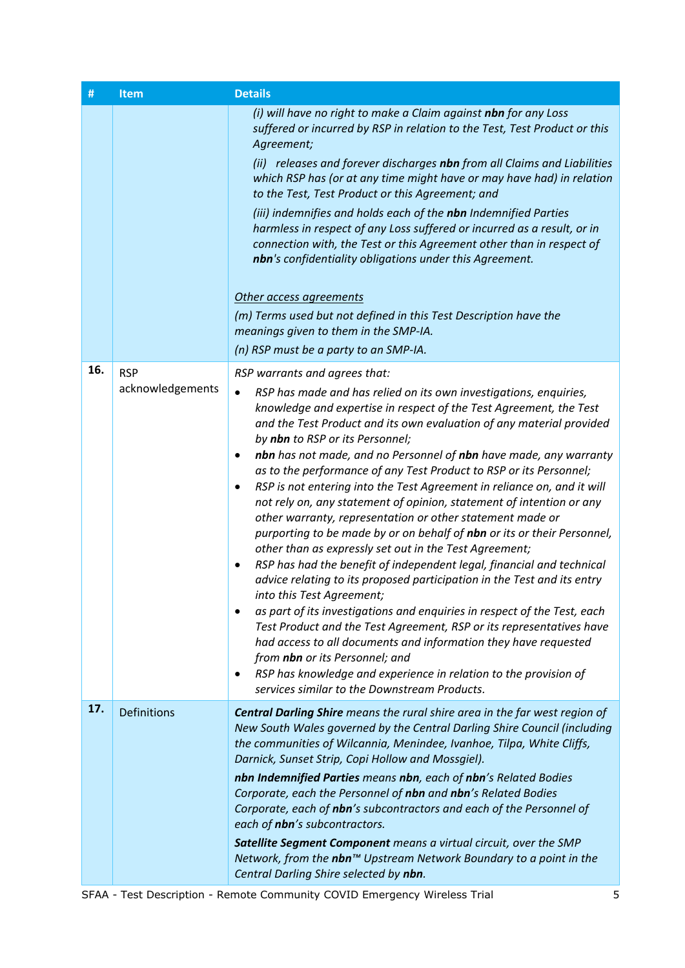| #   | <b>Item</b>                    | <b>Details</b>                                                                                                                                                                                                                                                                                                                                                                                                                                                                                                                                                                                                                                                                                                                                                                                                                                                                                                                                                                                                                                                                                                                                                                                                                                                                                                                                                                     |
|-----|--------------------------------|------------------------------------------------------------------------------------------------------------------------------------------------------------------------------------------------------------------------------------------------------------------------------------------------------------------------------------------------------------------------------------------------------------------------------------------------------------------------------------------------------------------------------------------------------------------------------------------------------------------------------------------------------------------------------------------------------------------------------------------------------------------------------------------------------------------------------------------------------------------------------------------------------------------------------------------------------------------------------------------------------------------------------------------------------------------------------------------------------------------------------------------------------------------------------------------------------------------------------------------------------------------------------------------------------------------------------------------------------------------------------------|
|     |                                | (i) will have no right to make a Claim against nbn for any Loss<br>suffered or incurred by RSP in relation to the Test, Test Product or this<br>Agreement;<br>(ii) releases and forever discharges nbn from all Claims and Liabilities<br>which RSP has (or at any time might have or may have had) in relation<br>to the Test, Test Product or this Agreement; and<br>(iii) indemnifies and holds each of the nbn Indemnified Parties<br>harmless in respect of any Loss suffered or incurred as a result, or in<br>connection with, the Test or this Agreement other than in respect of<br>nbn's confidentiality obligations under this Agreement.<br>Other access agreements<br>(m) Terms used but not defined in this Test Description have the<br>meanings given to them in the SMP-IA.<br>(n) RSP must be a party to an SMP-IA.                                                                                                                                                                                                                                                                                                                                                                                                                                                                                                                                              |
| 16. | <b>RSP</b><br>acknowledgements | RSP warrants and agrees that:<br>RSP has made and has relied on its own investigations, enquiries,<br>٠<br>knowledge and expertise in respect of the Test Agreement, the Test<br>and the Test Product and its own evaluation of any material provided<br>by nbn to RSP or its Personnel;<br>nbn has not made, and no Personnel of nbn have made, any warranty<br>٠<br>as to the performance of any Test Product to RSP or its Personnel;<br>RSP is not entering into the Test Agreement in reliance on, and it will<br>$\bullet$<br>not rely on, any statement of opinion, statement of intention or any<br>other warranty, representation or other statement made or<br>purporting to be made by or on behalf of nbn or its or their Personnel,<br>other than as expressly set out in the Test Agreement;<br>RSP has had the benefit of independent legal, financial and technical<br>٠<br>advice relating to its proposed participation in the Test and its entry<br>into this Test Agreement;<br>as part of its investigations and enquiries in respect of the Test, each<br>Test Product and the Test Agreement, RSP or its representatives have<br>had access to all documents and information they have requested<br>from nbn or its Personnel; and<br>RSP has knowledge and experience in relation to the provision of<br>٠<br>services similar to the Downstream Products. |
| 17. | <b>Definitions</b>             | <b>Central Darling Shire</b> means the rural shire area in the far west region of<br>New South Wales governed by the Central Darling Shire Council (including<br>the communities of Wilcannia, Menindee, Ivanhoe, Tilpa, White Cliffs,<br>Darnick, Sunset Strip, Copi Hollow and Mossgiel).<br>nbn Indemnified Parties means nbn, each of nbn's Related Bodies<br>Corporate, each the Personnel of nbn and nbn's Related Bodies<br>Corporate, each of nbn's subcontractors and each of the Personnel of<br>each of nbn's subcontractors.<br>Satellite Segment Component means a virtual circuit, over the SMP<br>Network, from the nbn™ Upstream Network Boundary to a point in the<br>Central Darling Shire selected by nbn.                                                                                                                                                                                                                                                                                                                                                                                                                                                                                                                                                                                                                                                      |